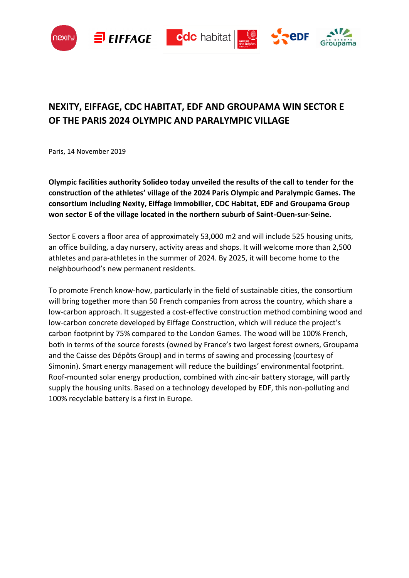







# **NEXITY, EIFFAGE, CDC HABITAT, EDF AND GROUPAMA WIN SECTOR E OF THE PARIS 2024 OLYMPIC AND PARALYMPIC VILLAGE**

Paris, 14 November 2019

**Olympic facilities authority Solideo today unveiled the results of the call to tender for the construction of the athletes' village of the 2024 Paris Olympic and Paralympic Games. The consortium including Nexity, Eiffage Immobilier, CDC Habitat, EDF and Groupama Group won sector E of the village located in the northern suburb of Saint-Ouen-sur-Seine.**

Sector E covers a floor area of approximately 53,000 m2 and will include 525 housing units, an office building, a day nursery, activity areas and shops. It will welcome more than 2,500 athletes and para-athletes in the summer of 2024. By 2025, it will become home to the neighbourhood's new permanent residents.

To promote French know-how, particularly in the field of sustainable cities, the consortium will bring together more than 50 French companies from across the country, which share a low-carbon approach. It suggested a cost-effective construction method combining wood and low-carbon concrete developed by Eiffage Construction, which will reduce the project's carbon footprint by 75% compared to the London Games. The wood will be 100% French, both in terms of the source forests (owned by France's two largest forest owners, Groupama and the Caisse des Dépôts Group) and in terms of sawing and processing (courtesy of Simonin). Smart energy management will reduce the buildings' environmental footprint. Roof-mounted solar energy production, combined with zinc-air battery storage, will partly supply the housing units. Based on a technology developed by EDF, this non-polluting and 100% recyclable battery is a first in Europe.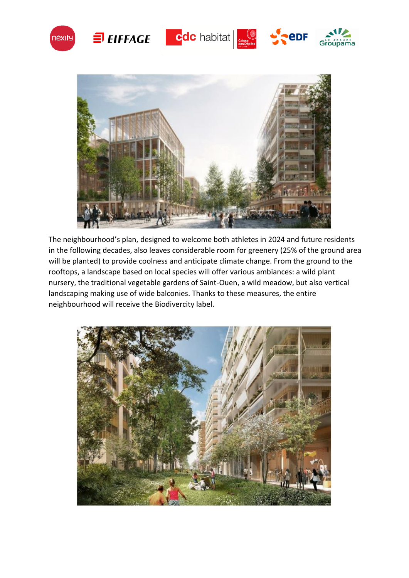



The neighbourhood's plan, designed to welcome both athletes in 2024 and future residents in the following decades, also leaves considerable room for greenery (25% of the ground area will be planted) to provide coolness and anticipate climate change. From the ground to the rooftops, a landscape based on local species will offer various ambiances: a wild plant nursery, the traditional vegetable gardens of Saint-Ouen, a wild meadow, but also vertical landscaping making use of wide balconies. Thanks to these measures, the entire neighbourhood will receive the Biodivercity label.

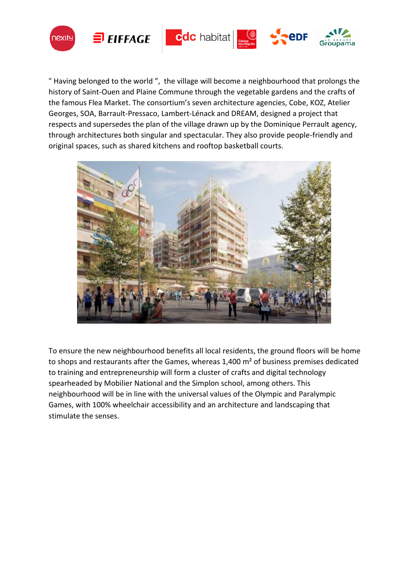





" Having belonged to the world ", the village will become a neighbourhood that prolongs the history of Saint-Ouen and Plaine Commune through the vegetable gardens and the crafts of the famous Flea Market. The consortium's seven architecture agencies, Cobe, KOZ, Atelier Georges, SOA, Barrault-Pressaco, Lambert-Lénack and DREAM, designed a project that respects and supersedes the plan of the village drawn up by the Dominique Perrault agency, through architectures both singular and spectacular. They also provide people-friendly and original spaces, such as shared kitchens and rooftop basketball courts.



To ensure the new neighbourhood benefits all local residents, the ground floors will be home to shops and restaurants after the Games, whereas 1,400 m² of business premises dedicated to training and entrepreneurship will form a cluster of crafts and digital technology spearheaded by Mobilier National and the Simplon school, among others. This neighbourhood will be in line with the universal values of the Olympic and Paralympic Games, with 100% wheelchair accessibility and an architecture and landscaping that stimulate the senses.